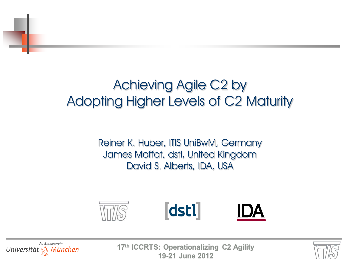# Achieving Agile C2 by Adopting Higher Levels of C2 Maturity

Reiner K. Huber, ITIS UniBwM, Germany James Moffat, dstl, United Kingdom David S. Alberts, IDA, USA





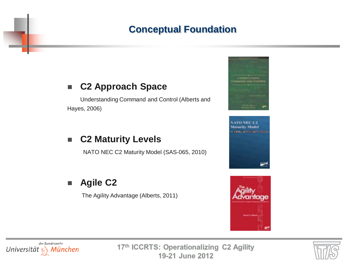## **Conceptual Foundation**

#### **C2 Approach Space**

Understanding Command and Control (Alberts and Hayes, 2006)

#### **C2 Maturity Levels**

NATO NEC C2 Maturity Model (SAS-065, 2010)

## **Agile C2**

The Agility Advantage (Alberts, 2011)









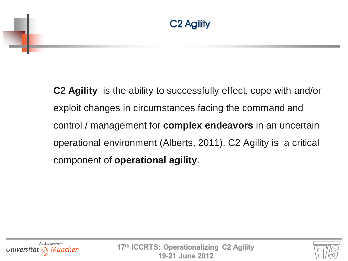**C2 Agility** is the ability to successfully effect, cope with and/or exploit changes in circumstances facing the command and control / management for **complex endeavors** in an uncertain operational environment (Alberts, 2011). C2 Agility is a critical component of **operational agility**.



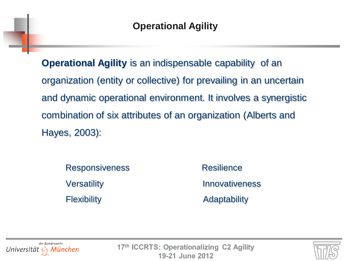**Operational Agility** is an indispensable capability of an organization (entity or collective) for prevailing in an uncertain and dynamic operational environment. It involves a synergistic combination of six attributes of an organization (Alberts and Hayes, 2003):

Responsiveness Resilience Flexibility **Adaptability Adaptability** 

Versatility **Innovativeness** 



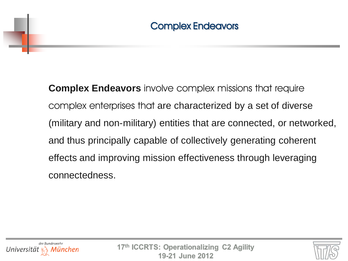**Complex Endeavors** involve complex missions that require complex enterprises that are characterized by a set of diverse (military and non-military) entities that are connected, or networked, and thus principally capable of collectively generating coherent effects and improving mission effectiveness through leveraging connectedness.



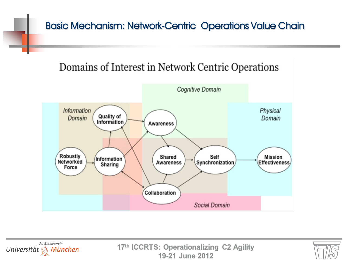## Basic Mechanism: Network-Centric Operations Value Chain

## Domains of Interest in Network Centric Operations





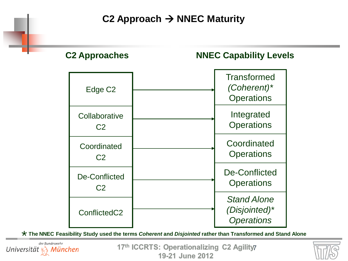**C2 Approach → NNEC Maturity** 



**The NNEC Feasibility Study used the terms** *Coherent* **and** *Disjointed* **rather than Transformed and Stand Alone** \*



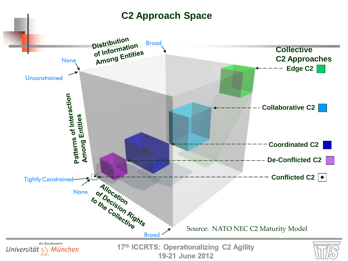#### **C2 Approach Space**

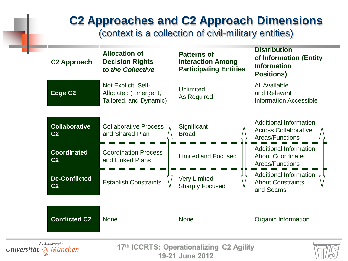## **C2 Approaches and C2 Approach Dimensions**

(context is a collection of civil-military entities)

| <b>C2 Approach</b>  | <b>Allocation of</b><br><b>Decision Rights</b><br>to the Collective   | <b>Patterns of</b><br><b>Interaction Among</b><br><b>Participating Entities</b> | <b>Distribution</b><br>of Information (Entity<br><b>Information</b><br><b>Positions)</b> |
|---------------------|-----------------------------------------------------------------------|---------------------------------------------------------------------------------|------------------------------------------------------------------------------------------|
| Edge C <sub>2</sub> | Not Explicit, Self-<br>Allocated (Emergent,<br>Tailored, and Dynamic) | <b>Unlimited</b><br>As Required                                                 | All Available<br>and Relevant<br><b>Information Accessible</b>                           |

| <b>Collaborative</b><br>C <sub>2</sub> | <b>Collaborative Process</b><br>and Shared Plan | Significant<br><b>Broad</b>                   | <b>Additional Information</b><br><b>Across Collaborative</b><br>Areas/Functions |
|----------------------------------------|-------------------------------------------------|-----------------------------------------------|---------------------------------------------------------------------------------|
| <b>Coordinated</b><br>C <sub>2</sub>   | <b>Coordination Process</b><br>and Linked Plans | <b>Limited and Focused</b>                    | <b>Additional Information</b><br><b>About Coordinated</b><br>Areas/Functions    |
| <b>De-Conflicted</b><br>C <sub>2</sub> | <b>Establish Constraints</b>                    | <b>Very Limited</b><br><b>Sharply Focused</b> | <b>Additional Information</b><br><b>About Constraints</b><br>and Seams          |

| <b>Conflicted C2</b> | None | <b>None</b> | Organic Information |
|----------------------|------|-------------|---------------------|
|----------------------|------|-------------|---------------------|



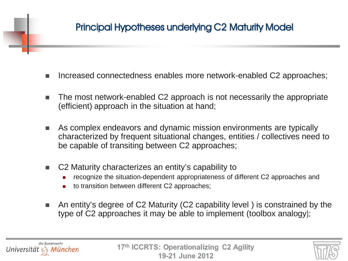## Principal Hypotheses underlying C2 Maturity Model

- Increased connectedness enables more network-enabled C2 approaches;
- The most network-enabled C2 approach is not necessarily the appropriate (efficient) approach in the situation at hand;
- As complex endeavors and dynamic mission environments are typically characterized by frequent situational changes, entities / collectives need to be capable of transiting between C2 approaches;
- C2 Maturity characterizes an entity's capability to
	- recognize the situation-dependent appropriateness of different C2 approaches and
	- to transition between different C2 approaches;
- An entity's degree of C2 Maturity (C2 capability level) is constrained by the type of C2 approaches it may be able to implement (toolbox analogy);

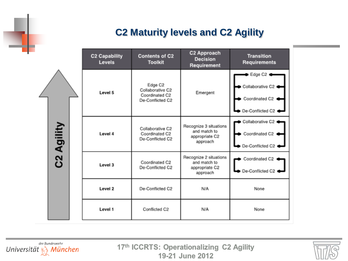## **C2 Maturity levels and C2 Agility**

C2 Approach Contents of C2 **C2 Capability Transition** Decision Requirements Levels **Toolkit** Requirement Edge C2 Edge C2 Collaborative C2 Collaborative C2 Level 5 Emergent Coordinated C2 Coordinated C2 < De-Conflicted C2 De-Conflicted C2 Collaborative C2 C2 Agility Recognize 3 situations Collaborative C2 and match to Coordinated C2  $\bullet$  Coordinated C2  $\bullet$ Level 4 appropriate C2 De-Conflicted C2 approach ● De-Conflicted C2 ● Recognize 2 situations Coordinated C2 ( Coordinated C2 and match to Level 3 appropriate C2 De-Conflicted C2 De-Conflicted C2 approach De-Conflicted C2 N/A Level 2 None Level 1 Conflicted C2 N/A None

der Bundeswehr Universität  $\mathcal{R}_3$  München

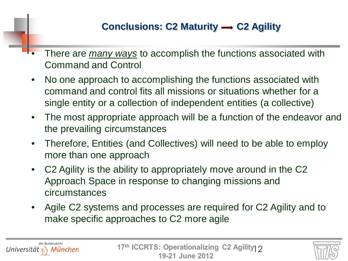## **Conclusions: C2 Maturity → C2 Agility**

- There are *many ways* to accomplish the functions associated with Command and Control
- No one approach to accomplishing the functions associated with command and control fits all missions or situations whether for a single entity or a collection of independent entities (a collective)
- The most appropriate approach will be a function of the endeavor and the prevailing circumstances
- Therefore, Entities (and Collectives) will need to be able to employ more than one approach
- C2 Agility is the ability to appropriately move around in the C2 Approach Space in response to changing missions and circumstances
- Agile C2 systems and processes are required for C2 Agility and to make specific approaches to C2 more agile

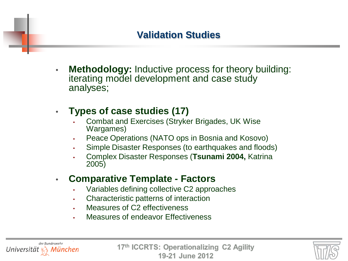## **Validation Studies**

**Methodology: Inductive process for theory building:** iterating model development and case study analyses;

#### • **Types of case studies (17)**

- Combat and Exercises (Stryker Brigades, UK Wise Wargames)
- Peace Operations (NATO ops in Bosnia and Kosovo)
- Simple Disaster Responses (to earthquakes and floods)
- Complex Disaster Responses (**Tsunami 2004,** Katrina 2005)
- **Comparative Template - Factors**
	- Variables defining collective C2 approaches
	- Characteristic patterns of interaction
	- Measures of C<sub>2</sub> effectiveness
	- Measures of endeavor Effectiveness

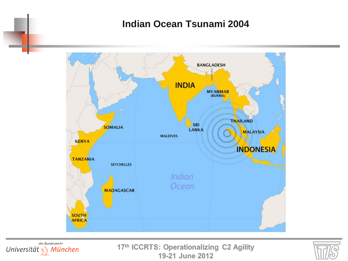#### **Indian Ocean Tsunami 2004**





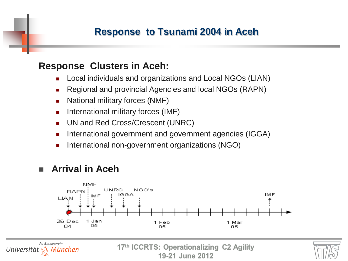#### **Response to Tsunami 2004 in Aceh**

#### **Response Clusters in Aceh:**

- Local individuals and organizations and Local NGOs (LIAN)
- Regional and provincial Agencies and local NGOs (RAPN)
- National military forces (NMF)
- International military forces (IMF)
- **UN and Red Cross/Crescent (UNRC)**
- **International government and government agencies (IGGA)**
- International non-government organizations (NGO)

#### **Arrival in Aceh**



19-21 June 2012

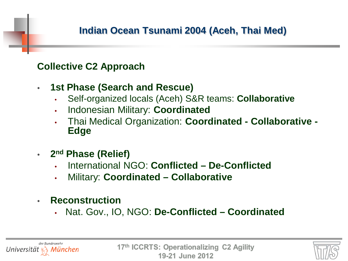## **Indian Ocean Tsunami 2004 (Aceh, Thai Med)**

#### **Collective C2 Approach**

- **1st Phase (Search and Rescue)**
	- Self-organized locals (Aceh) S&R teams: **Collaborative**
	- Indonesian Military: **Coordinated**
	- Thai Medical Organization: **Coordinated - Collaborative - Edge**
- **2nd Phase (Relief)**
	- International NGO: **Conflicted – De-Conflicted**
	- Military: **Coordinated – Collaborative**
- **Reconstruction** 
	- Nat. Gov., IO, NGO: **De-Conflicted – Coordinated**

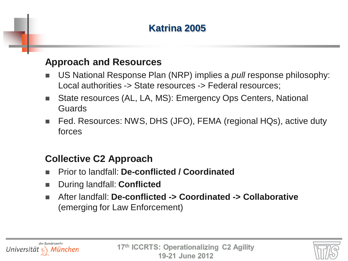## **Katrina 2005**

#### **Approach and Resources**

- US National Response Plan (NRP) implies a *pull* response philosophy: Local authorities -> State resources -> Federal resources;
- State resources (AL, LA, MS): Emergency Ops Centers, National Guards
- Fed. Resources: NWS, DHS (JFO), FEMA (regional HQs), active duty forces

#### **Collective C2 Approach**

- Prior to landfall: **De-conflicted / Coordinated**
- During landfall: **Conflicted**
- After landfall: **De-conflicted -> Coordinated -> Collaborative** (emerging for Law Enforcement)

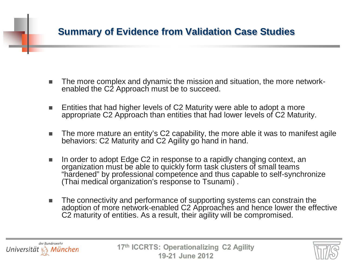### **Summary of Evidence from Validation Case Studies**

- The more complex and dynamic the mission and situation, the more network-<br>enabled the C2 Approach must be to succeed.
- Entities that had higher levels of C2 Maturity were able to adopt a more appropriate C2 Approach than entities that had lower levels of C2 Maturity.
- The more mature an entity's C2 capability, the more able it was to manifest agile behaviors: C2 Maturity and C2 Agility go hand in hand.
- In order to adopt Edge C2 in response to a rapidly changing context, an organization must be able to quickly form task clusters of small teams "hardened" by professional competence and thus capable to self-synchronize (Thai medical organization's response to Tsunami) .
- The connectivity and performance of supporting systems can constrain the adoption of more network-enabled C2 Approaches and hence lower the effective C2 maturity of entities. As a result, their agility will be compromised.